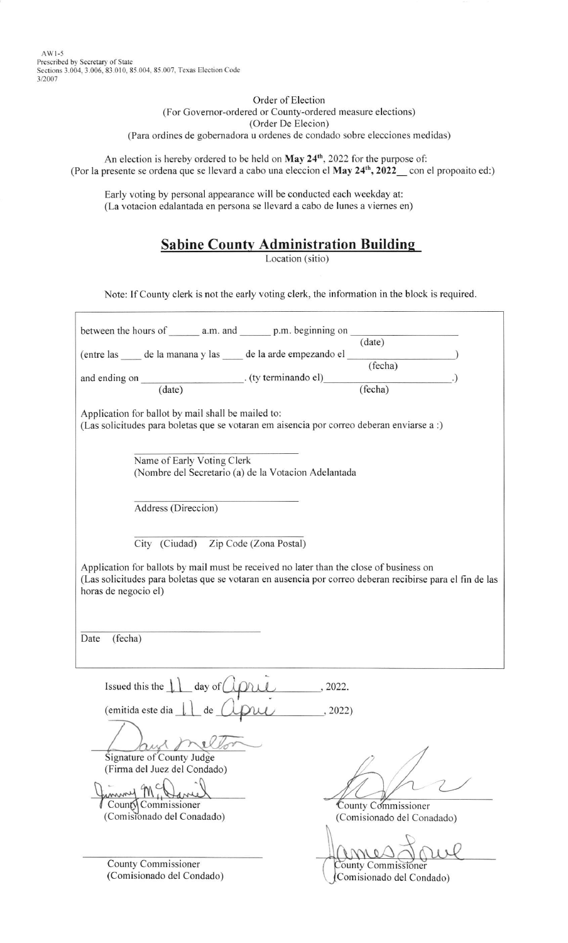AWt-5 Prescribed by Secretary of State Sections 3.004, 3.006, 83.010, 85.004, 85.007, Texas Election Code 3/2007

> Order of Election (For Governor-ordered or County-ordered measure elections) (Order De Elecion) (Para ordines de gobernadora u ordenes de condado sobre elecciones medidas)

An election is hereby ordered to be held on May 24<sup>th</sup>, 2022 for the purpose of: (Por la presente se ordena que se llevard a cabo una eleccion el May  $24<sup>th</sup>$ ,  $2022$  con el propoaito ed:)

Early voting by personal appearance will be conducted each weekday at: (La votacion edalantada en persona se llevard a cabo de Iunes a viernes en)

| <b>Sabine County Administration Building</b> |  |
|----------------------------------------------|--|
|                                              |  |

Location (sitio)

Note: If County clerk is not the early voting clerk, the information in the block is required.

|                                                                                                                                                                                                                                      | (date)                                            |  |  |  |
|--------------------------------------------------------------------------------------------------------------------------------------------------------------------------------------------------------------------------------------|---------------------------------------------------|--|--|--|
|                                                                                                                                                                                                                                      |                                                   |  |  |  |
|                                                                                                                                                                                                                                      |                                                   |  |  |  |
| and ending on (date) (ty terminando el) (fecha)                                                                                                                                                                                      |                                                   |  |  |  |
|                                                                                                                                                                                                                                      |                                                   |  |  |  |
| Application for ballot by mail shall be mailed to:<br>(Las solicitudes para boletas que se votaran em aisencia por correo deberan enviarse a :)                                                                                      |                                                   |  |  |  |
| Name of Early Voting Clerk<br>(Nombre del Secretario (a) de la Votacion Adelantada                                                                                                                                                   |                                                   |  |  |  |
| Address (Direccion)                                                                                                                                                                                                                  |                                                   |  |  |  |
| City (Ciudad) Zip Code (Zona Postal)                                                                                                                                                                                                 |                                                   |  |  |  |
| Application for ballots by mail must be received no later than the close of business on<br>(Las solicitudes para boletas que se votaran en ausencia por correo deberan recibirse para el fin de las                                  |                                                   |  |  |  |
| horas de negocio el)                                                                                                                                                                                                                 |                                                   |  |  |  |
|                                                                                                                                                                                                                                      |                                                   |  |  |  |
|                                                                                                                                                                                                                                      |                                                   |  |  |  |
| (fecha)<br>Date                                                                                                                                                                                                                      |                                                   |  |  |  |
|                                                                                                                                                                                                                                      |                                                   |  |  |  |
| Issued this the $\lfloor \lfloor \frac{\text{day of } \text{OPTU}}{\text{day of } \text{OPTU}} \rfloor$ , 2022.<br>(emitida este dia $\lfloor \lfloor \frac{\text{day of } \text{OPTU}}{\text{day of } \text{OPTU}} \rfloor$ , 2022) |                                                   |  |  |  |
|                                                                                                                                                                                                                                      |                                                   |  |  |  |
|                                                                                                                                                                                                                                      |                                                   |  |  |  |
|                                                                                                                                                                                                                                      |                                                   |  |  |  |
| Signature of County Judge<br>(Firma del Juez del Condado)                                                                                                                                                                            |                                                   |  |  |  |
|                                                                                                                                                                                                                                      |                                                   |  |  |  |
|                                                                                                                                                                                                                                      |                                                   |  |  |  |
| County Commissioner<br>(Comisionado del Conadado)                                                                                                                                                                                    | County Commissioner<br>(Comisionado del Conadado) |  |  |  |
|                                                                                                                                                                                                                                      |                                                   |  |  |  |
|                                                                                                                                                                                                                                      |                                                   |  |  |  |
|                                                                                                                                                                                                                                      |                                                   |  |  |  |

County Commissioner (Comisionado del Condado) County Commissioner Comisionado del Condado)